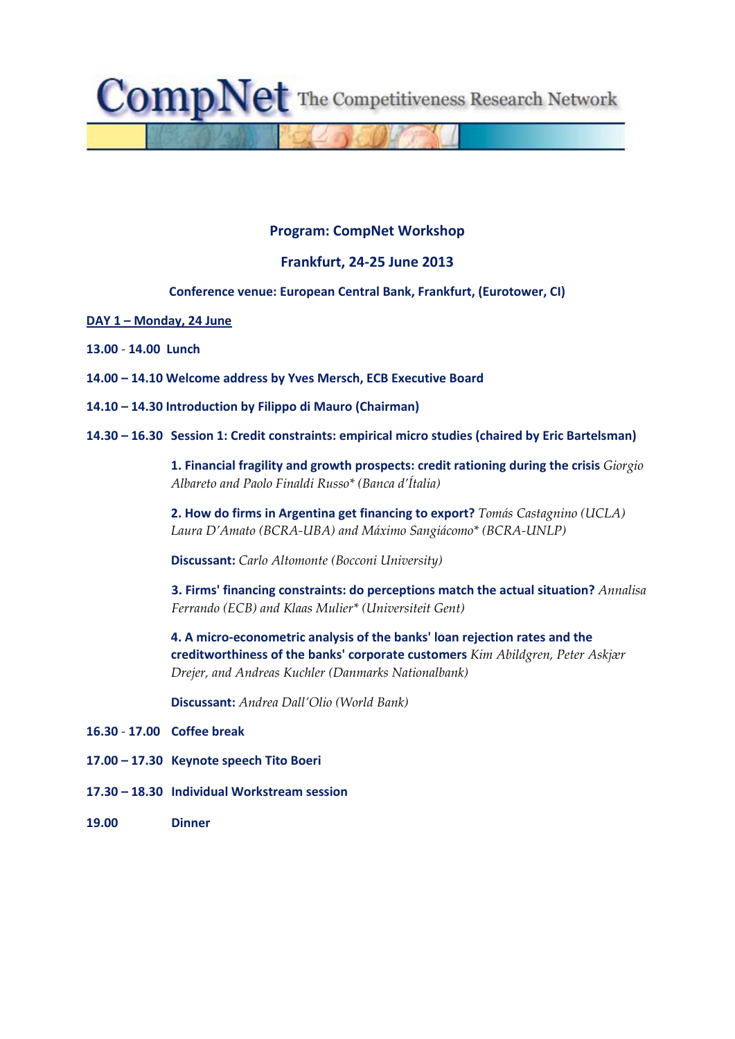$compNet$  The Competitiveness Research Network

# **Program: CompNet Workshop**

## **Frankfurt, 24‐25 June 2013**

## **Conference venue: European Central Bank, Frankfurt, (Eurotower, CI)**

- **DAY 1 – Monday, 24 June**
- **13.00** ‐ **14.00 Lunch**
- **14.00 – 14.10 Welcome address by Yves Mersch, ECB Executive Board**
- **14.10 – 14.30 Introduction by Filippo di Mauro (Chairman)**
- **14.30 – 16.30 Session 1: Credit constraints: empirical micro studies (chaired by Eric Bartelsman)**

**1. Financial fragility and growth prospects: credit rationing during the crisis** *Giorgio Albareto and Paolo Finaldi Russo\* (Banca d'Ítalia)*

**2. How do firms in Argentina get financing to export?** *Tomás Castagnino (UCLA) Laura D'Amato (BCRA‐UBA) and Máximo Sangiácomo\* (BCRA‐UNLP)*

**Discussant:** *Carlo Altomonte (Bocconi University)*

**3. Firms' financing constraints: do perceptions match the actual situation?** *Annalisa Ferrando (ECB) and Klaas Mulier\* (Universiteit Gent)* 

**4. A micro‐econometric analysis of the banks' loan rejection rates and the creditworthiness of the banks' corporate customers** *Kim Abildgren, Peter Askjær Drejer, and Andreas Kuchler (Danmarks Nationalbank)*

**Discussant:** *Andrea Dall'Olio (World Bank)*

- **16.30** ‐ **17.00 Coffee break**
- **17.00 – 17.30 Keynote speech Tito Boeri**
- **17.30 – 18.30 Individual Workstream session**
- **19.00 Dinner**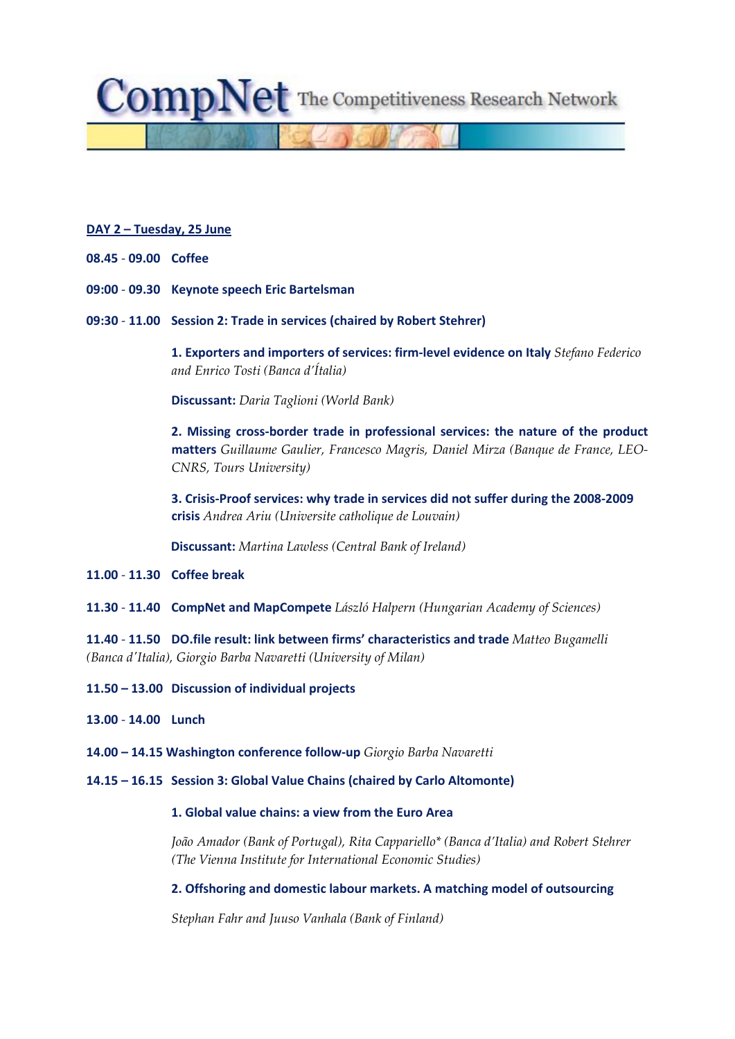**Comp** $N$ **et** The Competitiveness Research Network

#### **DAY 2 – Tuesday, 25 June**

- **08.45** ‐ **09.00 Coffee**
- **09:00** ‐ **09.30 Keynote speech Eric Bartelsman**
- **09:30** ‐ **11.00 Session 2: Trade in services (chaired by Robert Stehrer)**

**1. Exporters and importers of services: firm‐level evidence on Italy** *Stefano Federico and Enrico Tosti (Banca d'Ítalia)*

**Discussant:** *Daria Taglioni (World Bank)*

**2. Missing cross‐border trade in professional services: the nature of the product matters** *Guillaume Gaulier, Francesco Magris, Daniel Mirza (Banque de France, LEO‐ CNRS, Tours University)*

**3. Crisis‐Proof services: why trade in services did not suffer during the 2008‐2009 crisis** *Andrea Ariu (Universite catholique de Louvain)*

**Discussant:** *Martina Lawless (Central Bank of Ireland)*

**11.00** ‐ **11.30 Coffee break**

**11.30** ‐ **11.40 CompNet and MapCompete** *László Halpern (Hungarian Academy of Sciences)*

**11.40** ‐ **11.50 DO.file result: link between firms' characteristics and trade** *Matteo Bugamelli (Banca dʹItalia), Giorgio Barba Navaretti (University of Milan)*

- **11.50 – 13.00 Discussion of individual projects**
- **13.00** ‐ **14.00 Lunch**

**14.00 – 14.15 Washington conference follow‐up** *Giorgio Barba Navaretti*

**14.15 – 16.15 Session 3: Global Value Chains (chaired by Carlo Altomonte)**

### **1. Global value chains: a view from the Euro Area**

*João Amador (Bank of Portugal), Rita Cappariello\* (Banca d'Italia) and Robert Stehrer (The Vienna Institute for International Economic Studies)* 

**2. Offshoring and domestic labour markets. A matching model of outsourcing**

*Stephan Fahr and Juuso Vanhala (Bank of Finland)*